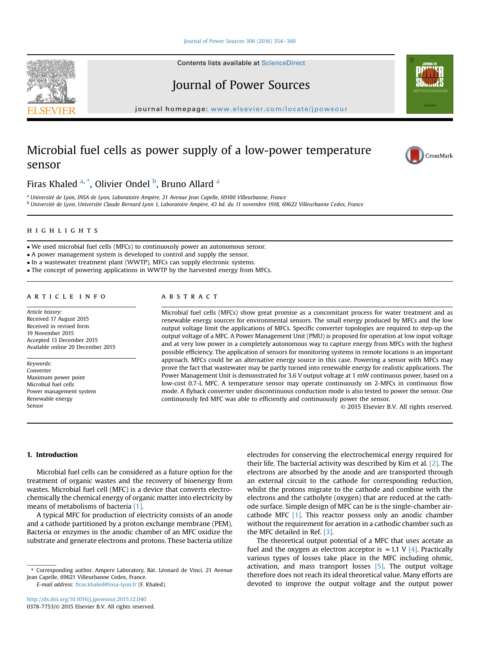#### Journal of Power Sources  $306(2016)$   $354-360$  $354-360$

Contents lists available at ScienceDirect

# Journal of Power Sources

journal homepage: [www.elsevier.com/locate/jpowsour](http://www.elsevier.com/locate/jpowsour)

# Microbial fuel cells as power supply of a low-power temperature sensor



Firas Khaled <sup>a,</sup> \*, Olivier Ondel <sup>b</sup>, Bruno Allard <sup>a</sup>

<sup>a</sup> Université de Lyon, INSA de Lyon, Laboratoire Ampère, 21 Avenue Jean Capelle, 69100 Villeurbanne, France <sup>b</sup> Université de Lyon, Université Claude Bernard Lyon 1, Laboratoire Ampère, 43 bd. du 11 novembre 1918, 69622 Villeurbanne Cedex, France

We used microbial fuel cells (MFCs) to continuously power an autonomous sensor.

A power management system is developed to control and supply the sensor.

• In a wastewater treatment plant (WWTP), MFCs can supply electronic systems.

The concept of powering applications in WWTP by the harvested energy from MFCs.

#### article info

Article history: Received 17 August 2015 Received in revised form 19 November 2015 Accepted 13 December 2015 Available online 20 December 2015

Keywords: Converter Maximum power point Microbial fuel cells Power management system Renewable energy Sensor

#### **ABSTRACT** abstract

Microbial fuel cells (MFCs) show great promise as a concomitant process for water treatment and as renewable energy sources for environmental sensors. The small energy produced by MFCs and the low output voltage limit the applications of MFCs. Specific converter topologies are required to step-up the output voltage of a MFC. A Power Management Unit (PMU) is proposed for operation at low input voltage and at very low power in a completely autonomous way to capture energy from MFCs with the highest possible efficiency. The application of sensors for monitoring systems in remote locations is an important approach. MFCs could be an alternative energy source in this case. Powering a sensor with MFCs may prove the fact that wastewater may be partly turned into renewable energy for realistic applications. The Power Management Unit is demonstrated for 3.6 V output voltage at 1 mW continuous power, based on a low-cost 0.7-L MFC. A temperature sensor may operate continuously on 2-MFCs in continuous flow mode. A flyback converter under discontinuous conduction mode is also tested to power the sensor. One continuously fed MFC was able to efficiently and continuously power the sensor.

© 2015 Elsevier B.V. All rights reserved.

### 1. Introduction

Microbial fuel cells can be considered as a future option for the treatment of organic wastes and the recovery of bioenergy from wastes. Microbial fuel cell (MFC) is a device that converts electrochemically the chemical energy of organic matter into electricity by means of metabolisms of bacteria [1].

A typical MFC for production of electricity consists of an anode and a cathode partitioned by a proton exchange membrane (PEM). Bacteria or enzymes in the anodic chamber of an MFC oxidize the substrate and generate electrons and protons. These bacteria utilize

E-mail address: fi[ras.khaled@insa-lyon.fr](mailto:firas.khaled@insa-lyon.fr) (F. Khaled).

electrodes for conserving the electrochemical energy required for their life. The bacterial activity was described by Kim et al. [2]. The electrons are absorbed by the anode and are transported through an external circuit to the cathode for corresponding reduction, whilst the protons migrate to the cathode and combine with the electrons and the catholyte (oxygen) that are reduced at the cathode surface. Simple design of MFC can be is the single-chamber aircathode MFC  $[1]$ . This reactor possess only an anodic chamber without the requirement for aeration in a cathodic chamber such as the MFC detailed in Ref. [3].

The theoretical output potential of a MFC that uses acetate as fuel and the oxygen as electron acceptor is  $\approx$  1.1 V [4]. Practically various types of losses take place in the MFC including ohmic, activation, and mass transport losses  $[5]$ . The output voltage therefore does not reach its ideal theoretical value. Many efforts are devoted to improve the output voltage and the output power



<sup>\*</sup> Corresponding author. Ampere Laboratory, Bât. Léonard de Vinci, 21 Avenue Jean Capelle, 69621 Villeurbanne Cedex, France.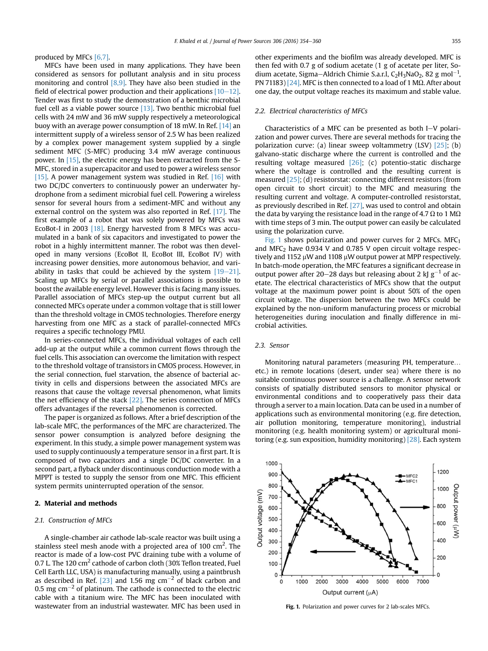produced by MFCs [6,7].

MFCs have been used in many applications. They have been considered as sensors for pollutant analysis and in situ process monitoring and control [8,9]. They have also been studied in the field of electrical power production and their applications  $[10-12]$ . Tender was first to study the demonstration of a benthic microbial fuel cell as a viable power source [13]. Two benthic microbial fuel cells with 24 mW and 36 mW supply respectively a meteorological buoy with an average power consumption of 18 mW. In Ref. [14] an intermittent supply of a wireless sensor of 2.5 W has been realized by a complex power management system supplied by a single sediment MFC (S-MFC) producing 3.4 mW average continuous power. In [15], the electric energy has been extracted from the S-MFC, stored in a supercapacitor and used to power a wireless sensor [15]. A power management system was studied in Ref. [16] with two DC/DC converters to continuously power an underwater hydrophone from a sediment microbial fuel cell. Powering a wireless sensor for several hours from a sediment-MFC and without any external control on the system was also reported in Ref. [17]. The first example of a robot that was solely powered by MFCs was EcoBot-I in 2003 [18]. Energy harvested from 8 MFCs was accumulated in a bank of six capacitors and investigated to power the robot in a highly intermittent manner. The robot was then developed in many versions (EcoBot II, EcoBot III, EcoBot IV) with increasing power densities, more autonomous behavior, and variability in tasks that could be achieved by the system  $[19-21]$ . Scaling up MFCs by serial or parallel associations is possible to boost the available energy level. However this is facing many issues. Parallel association of MFCs step-up the output current but all connected MFCs operate under a common voltage that is still lower than the threshold voltage in CMOS technologies. Therefore energy harvesting from one MFC as a stack of parallel-connected MFCs requires a specific technology PMU.

In series-connected MFCs, the individual voltages of each cell add-up at the output while a common current flows through the fuel cells. This association can overcome the limitation with respect to the threshold voltage of transistors in CMOS process. However, in the serial connection, fuel starvation, the absence of bacterial activity in cells and dispersions between the associated MFCs are reasons that cause the voltage reversal phenomenon, what limits the net efficiency of the stack [22]. The series connection of MFCs offers advantages if the reversal phenomenon is corrected.

The paper is organized as follows. After a brief description of the lab-scale MFC, the performances of the MFC are characterized. The sensor power consumption is analyzed before designing the experiment. In this study, a simple power management system was used to supply continuously a temperature sensor in a first part. It is composed of two capacitors and a single DC/DC converter. In a second part, a flyback under discontinuous conduction mode with a MPPT is tested to supply the sensor from one MFC. This efficient system permits uninterrupted operation of the sensor.

### 2. Material and methods

### 2.1. Construction of MFCs

A single-chamber air cathode lab-scale reactor was built using a stainless steel mesh anode with a projected area of 100 cm<sup>2</sup>. The reactor is made of a low-cost PVC draining tube with a volume of 0.7 L. The 120  $\text{cm}^2$  cathode of carbon cloth (30% Teflon treated, Fuel Cell Earth LLC, USA) is manufacturing manually, using a paintbrush as described in Ref. [23] and 1.56 mg  $\text{cm}^{-2}$  of black carbon and 0.5 mg  $cm^{-2}$  of platinum. The cathode is connected to the electric cable with a titanium wire. The MFC has been inoculated with wastewater from an industrial wastewater. MFC has been used in other experiments and the biofilm was already developed. MFC is then fed with 0.7 g of sodium acetate (1 g of acetate per liter, Sodium acetate, Sigma–Aldrich Chimie S.a.r.l, C<sub>2</sub>H<sub>3</sub>NaO<sub>2</sub>, 82 g mol<sup>-1</sup>, PN 71183) [24]. MFC is then connected to a load of 1 M $\Omega$ . After about one day, the output voltage reaches its maximum and stable value.

#### 2.2. Electrical characteristics of MFCs

Characteristics of a MFC can be presented as both  $I-V$  polarization and power curves. There are several methods for tracing the polarization curve: (a) linear sweep voltammetry (LSV) [25]; (b) galvano-static discharge where the current is controlled and the resulting voltage measured [26]; (c) potentio-static discharge where the voltage is controlled and the resulting current is measured [25]; (d) resistorstat: connecting different resistors (from open circuit to short circuit) to the MFC and measuring the resulting current and voltage. A computer-controlled resistorstat, as previously described in Ref. [27], was used to control and obtain the data by varying the resistance load in the range of 4.7  $\Omega$  to 1 M $\Omega$ with time steps of 3 min. The output power can easily be calculated using the polarization curve.

Fig. 1 shows polarization and power curves for 2 MFCs.  $MFC<sub>1</sub>$ and MFC<sub>2</sub> have  $0.934$  V and  $0.785$  V open circuit voltage respectively and 1152  $\mu$ W and 1108  $\mu$ W output power at MPP respectively. In batch-mode operation, the MFC features a significant decrease in output power after 20–28 days but releasing about 2 kJ  $g^{-1}$  of acetate. The electrical characteristics of MFCs show that the output voltage at the maximum power point is about 50% of the open circuit voltage. The dispersion between the two MFCs could be explained by the non-uniform manufacturing process or microbial heterogeneities during inoculation and finally difference in microbial activities.

### 2.3. Sensor

Monitoring natural parameters (measuring PH, temperature… etc.) in remote locations (desert, under sea) where there is no suitable continuous power source is a challenge. A sensor network consists of spatially distributed sensors to monitor physical or environmental conditions and to cooperatively pass their data through a server to a main location. Data can be used in a number of applications such as environmental monitoring (e.g. fire detection, air pollution monitoring, temperature monitoring), industrial monitoring (e.g. health monitoring system) or agricultural monitoring (e.g. sun exposition, humidity monitoring) [28]. Each system



Fig. 1. Polarization and power curves for 2 lab-scales MFCs.